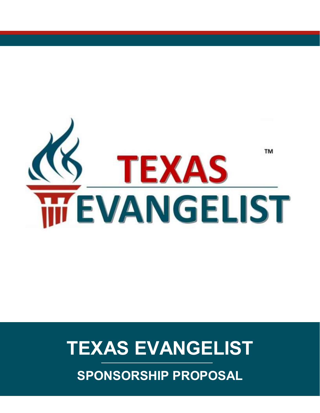

## **TEXAS EVANGELIST**

**SPONSORSHIP PROPOSAL**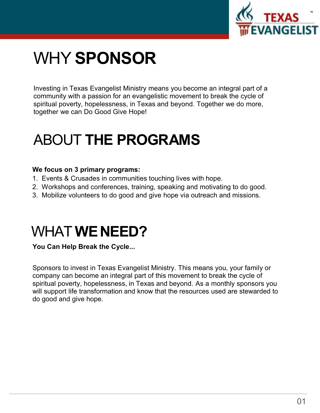

## WHY **SPONSOR**

Investing in Texas Evangelist Ministry means you become an integral part of a community with a passion for an evangelistic movement to break the cycle of spiritual poverty, hopelessness, in Texas and beyond. Together we do more, together we can Do Good Give Hope!

### ABOUT **THE PROGRAMS**

#### **We focus on 3 primary programs:**

- 1. Events & Crusades in communities touching lives with hope.
- 2. Workshops and conferences, training, speaking and motivating to do good.
- 3. Mobilize volunteers to do good and give hope via outreach and missions.

### WHAT **WENEED?**

**You Can Help Break the Cycle...** 

Sponsors to invest in Texas Evangelist Ministry. This means you, your family or company can become an integral part of this movement to break the cycle of spiritual poverty, hopelessness, in Texas and beyond. As a monthly sponsors you will support life transformation and know that the resources used are stewarded to do good and give hope.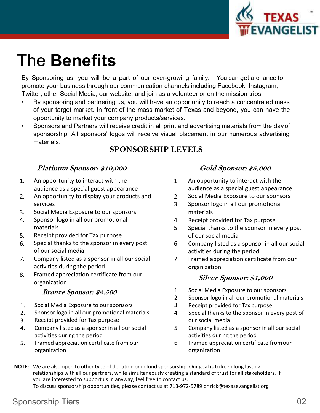

### The **Benefits**

By Sponsoring us, you will be a part of our ever-growing family. You can get a chance to promote your business through our communication channels including Facebook, Instagram, Twitter, other Social Media, our website, and join as a volunteer or on the mission trips.

- By sponsoring and partnering us, you will have an opportunity to reach a concentrated mass of your target market. In front of the mass market of Texas and beyond, you can have the opportunity to market your company products/services.
- Sponsors and Partners will receive credit in all print and advertising materials from the day of sponsorship. All sponsors' logos will receive visual placement in our numerous advertising materials. •

#### **SPONSORSHIP LEVELS**

#### **Platinum Sponsor: \$10,000**

- 1. An opportunity to interact with the  $\begin{array}{|c|c|} \hline \end{array}$  1. audience as a special guest appearance
- 2. An opportunity to display your products and  $\vert$  2. services
- Social Media Exposure to our sponsors 3.
- Sponsor logo in all our promotional materials 4.
- Receipt provided for Tax purpose 5.
- Special thanks to the sponsor in every post of our social media 6.
- 7. Company listed as a sponsor in all our social |  $\qquad 7.$  Framed appreciation certificate from our activities during the period
- Framed appreciation certificate from our 8. **Silver Sponsor: \$1,000** organization

#### **Bronze Sponsor: \$2,500**

- Social Media Exposure to our sponsors 1.
- Sponsor logo in all our promotional materials 2.
- Receipt provided for Tax purpose 3.
- 4. Company listed as a sponsor in all our social activities during the period
- Framed appreciation certificate from our 5. 6. Framed appreciation certificate fromour organization

#### **Gold Sponsor: \$5,000**

- An opportunity to interact with the audience as a special guest appearance
- Social Media Exposure to our sponsors
- Sponsor logo in all our promotional 3. materials
- 4. Receipt provided for Tax purpose
- 5. Special thanks to the sponsor in every post of our social media
- 6. Company listed as a sponsor in all our social activities during the period
- organization

- 1. Social Media Exposure to our sponsors
- 2. Sponsor logo in all our promotional materials
- 3. Receipt provided for Tax purpose
- 4. Special thanks to the sponsor in every post of our social media
- 5. Company listed as a sponsor in all our social activities during the period
- organization

**NOTE:** We are also open to other type of donation or in-kind sponsorship. Our goal is to keep long lasting relationships with all our partners, while simultaneously creating a standard of trust for all stakeholders. If you are interested to support us in anyway, feel free to contact us. To discuss sponsorship opportunities, please contact us at 713-972-5789 or [rick@texasevangelist.org](mailto:rick@texasevangelist.org)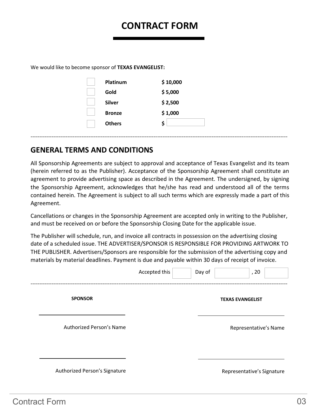### **CONTRACT FORM**

We would like to become sponsor of **TEXAS EVANGELIST:**

| Platinum      | \$10,000 |
|---------------|----------|
| Gold          | \$5,000  |
| Silver        | \$2,500  |
| <b>Bronze</b> | \$1,000  |
| <b>Others</b> | Ś        |
|               |          |

#### **GENERAL TERMS AND CONDITIONS**

All Sponsorship Agreements are subject to approval and acceptance of Texas Evangelist and its team (herein referred to as the Publisher). Acceptance of the Sponsorship Agreement shall constitute an agreement to provide advertising space as described in the Agreement. The undersigned, by signing the Sponsorship Agreement, acknowledges that he/she has read and understood all of the terms contained herein. The Agreement is subject to all such terms which are expressly made a part of this Agreement.

--------------------------------------------------------------------------------------------------------------------------------------------------

Cancellations or changes in the Sponsorship Agreement are accepted only in writing to the Publisher, and must be received on or before the Sponsorship Closing Date for the applicable issue.

The Publisher will schedule, run, and invoice all contracts in possession on the advertising closing date of a scheduled issue. THE ADVERTISER/SPONSOR IS RESPONSIBLE FOR PROVIDING ARTWORK TO THE PUBLISHER. Advertisers/Sponsors are responsible for the submission of the advertising copy and materials by material deadlines. Payment is due and payable within 30 days of receipt of invoice.

|                               | Accepted this | Day of | , 20                       |
|-------------------------------|---------------|--------|----------------------------|
| <b>SPONSOR</b>                |               |        | <b>TEXAS EVANGELIST</b>    |
| Authorized Person's Name      |               |        | Representative's Name      |
| Authorized Person's Signature |               |        | Representative's Signature |